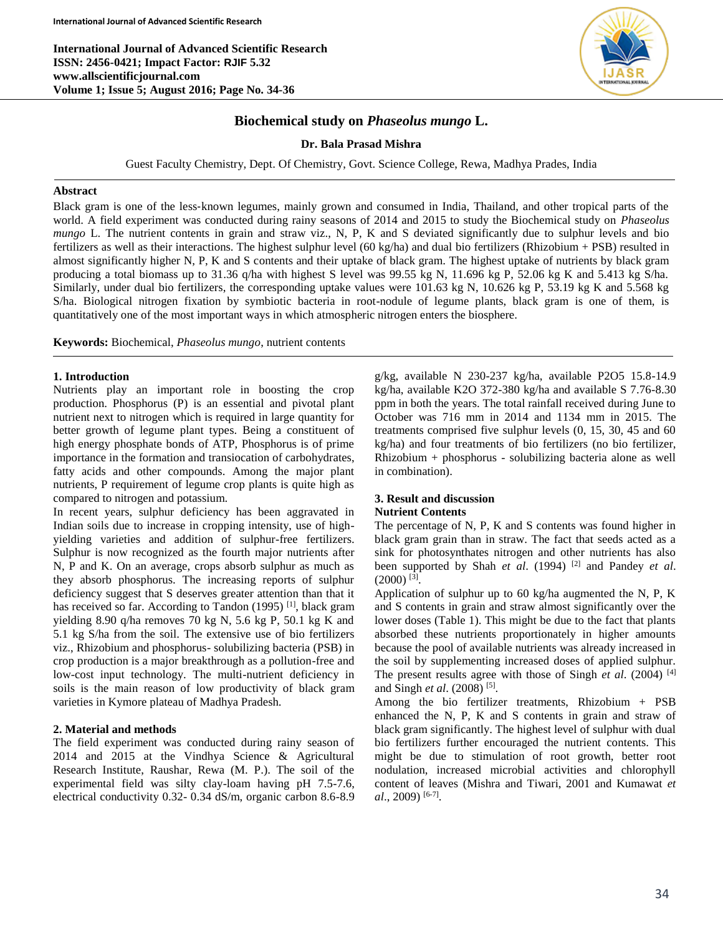**International Journal of Advanced Scientific Research ISSN: 2456-0421; Impact Factor: RJIF 5.32 www.allscientificjournal.com Volume 1; Issue 5; August 2016; Page No. 34-36**



# **Biochemical study on** *Phaseolus mungo* **L.**

**Dr. Bala Prasad Mishra**

Guest Faculty Chemistry, Dept. Of Chemistry, Govt. Science College, Rewa, Madhya Prades, India

### **Abstract**

Black gram is one of the less‐known legumes, mainly grown and consumed in India, Thailand, and other tropical parts of the world. A field experiment was conducted during rainy seasons of 2014 and 2015 to study the Biochemical study on *Phaseolus mungo* L. The nutrient contents in grain and straw viz., N, P, K and S deviated significantly due to sulphur levels and bio fertilizers as well as their interactions. The highest sulphur level (60 kg/ha) and dual bio fertilizers (Rhizobium + PSB) resulted in almost significantly higher N, P, K and S contents and their uptake of black gram. The highest uptake of nutrients by black gram producing a total biomass up to 31.36 q/ha with highest S level was 99.55 kg N, 11.696 kg P, 52.06 kg K and 5.413 kg S/ha. Similarly, under dual bio fertilizers, the corresponding uptake values were 101.63 kg N, 10.626 kg P, 53.19 kg K and 5.568 kg S/ha. Biological nitrogen fixation by symbiotic bacteria in root-nodule of legume plants, black gram is one of them, is quantitatively one of the most important ways in which atmospheric nitrogen enters the biosphere.

**Keywords:** Biochemical, *Phaseolus mungo*, nutrient contents

## **1. Introduction**

Nutrients play an important role in boosting the crop production. Phosphorus (P) is an essential and pivotal plant nutrient next to nitrogen which is required in large quantity for better growth of legume plant types. Being a constituent of high energy phosphate bonds of ATP, Phosphorus is of prime importance in the formation and transiocation of carbohydrates, fatty acids and other compounds. Among the major plant nutrients, P requirement of legume crop plants is quite high as compared to nitrogen and potassium.

In recent years, sulphur deficiency has been aggravated in Indian soils due to increase in cropping intensity, use of highyielding varieties and addition of sulphur-free fertilizers. Sulphur is now recognized as the fourth major nutrients after N, P and K. On an average, crops absorb sulphur as much as they absorb phosphorus. The increasing reports of sulphur deficiency suggest that S deserves greater attention than that it has received so far. According to Tandon (1995)<sup>[1]</sup>, black gram yielding 8.90 q/ha removes 70 kg N, 5.6 kg P, 50.1 kg K and 5.1 kg S/ha from the soil. The extensive use of bio fertilizers viz., Rhizobium and phosphorus- solubilizing bacteria (PSB) in crop production is a major breakthrough as a pollution-free and low-cost input technology. The multi-nutrient deficiency in soils is the main reason of low productivity of black gram varieties in Kymore plateau of Madhya Pradesh.

# **2. Material and methods**

The field experiment was conducted during rainy season of 2014 and 2015 at the Vindhya Science & Agricultural Research Institute, Raushar, Rewa (M. P.). The soil of the experimental field was silty clay-loam having pH 7.5-7.6, electrical conductivity 0.32- 0.34 dS/m, organic carbon 8.6-8.9

g/kg, available N 230-237 kg/ha, available P2O5 15.8-14.9 kg/ha, available K2O 372-380 kg/ha and available S 7.76-8.30 ppm in both the years. The total rainfall received during June to October was 716 mm in 2014 and 1134 mm in 2015. The treatments comprised five sulphur levels (0, 15, 30, 45 and 60 kg/ha) and four treatments of bio fertilizers (no bio fertilizer, Rhizobium + phosphorus - solubilizing bacteria alone as well in combination).

### **3. Result and discussion Nutrient Contents**

The percentage of N, P, K and S contents was found higher in black gram grain than in straw. The fact that seeds acted as a sink for photosynthates nitrogen and other nutrients has also been supported by Shah *et al.* (1994)<sup>[2]</sup> and Pandey *et al.*  $(2000)^{[3]}$ .

Application of sulphur up to 60 kg/ha augmented the N, P, K and S contents in grain and straw almost significantly over the lower doses (Table 1). This might be due to the fact that plants absorbed these nutrients proportionately in higher amounts because the pool of available nutrients was already increased in the soil by supplementing increased doses of applied sulphur. The present results agree with those of Singh *et al*. (2004) [4] and Singh *et al.* (2008)<sup>[5]</sup>.

Among the bio fertilizer treatments, Rhizobium + PSB enhanced the N, P, K and S contents in grain and straw of black gram significantly. The highest level of sulphur with dual bio fertilizers further encouraged the nutrient contents. This might be due to stimulation of root growth, better root nodulation, increased microbial activities and chlorophyll content of leaves (Mishra and Tiwari, 2001 and Kumawat *et al*., 2009) [6-7] .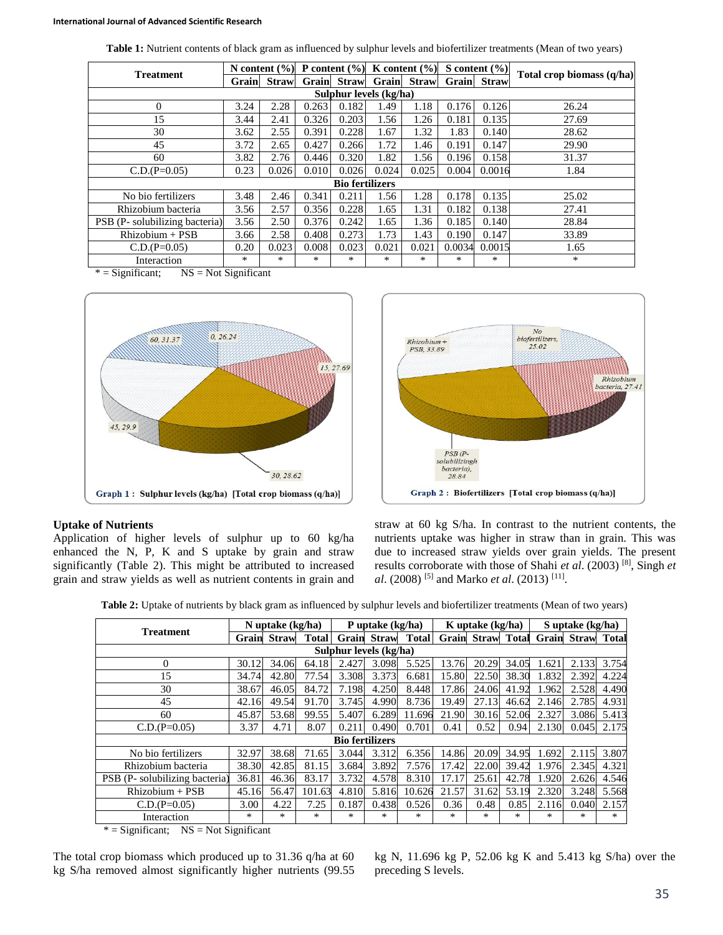| <b>Table 1:</b> Nutrient contents of black gram as influenced by sulphur levels and biofertilizer treatments (Mean of two years) |  |  |
|----------------------------------------------------------------------------------------------------------------------------------|--|--|
|----------------------------------------------------------------------------------------------------------------------------------|--|--|

| <b>Treatment</b>              | N content $(\% )$ |             |        |             | P content $(\% )$ K content $(\% )$ |              | S content $(\% )$ |             |                           |  |
|-------------------------------|-------------------|-------------|--------|-------------|-------------------------------------|--------------|-------------------|-------------|---------------------------|--|
|                               |                   | Grain Straw |        | Grain Straw | Grain                               | <b>Straw</b> |                   | Grain Straw | Total crop biomass (q/ha) |  |
| Sulphur levels (kg/ha)        |                   |             |        |             |                                     |              |                   |             |                           |  |
| $\theta$                      | 3.24              | 2.28        | 0.263  | 0.182       | 1.49                                | 1.18         | 0.176             | 0.126       | 26.24                     |  |
| 15                            | 3.44              | 2.41        | 0.326  | 0.203       | 1.56                                | 1.26         | 0.181             | 0.135       | 27.69                     |  |
| 30                            | 3.62              | 2.55        | 0.391  | 0.228       | 1.67                                | 1.32         | 1.83              | 0.140       | 28.62                     |  |
| 45                            | 3.72              | 2.65        | 0.427  | 0.266       | 1.72                                | 1.46         | 0.191             | 0.147       | 29.90                     |  |
| 60                            | 3.82              | 2.76        | 0.446  | 0.320       | 1.82                                | 1.56         | 0.196             | 0.158       | 31.37                     |  |
| $C.D.(P=0.05)$                | 0.23              | 0.026       | 0.010  | 0.026       | 0.024                               | 0.025        | 0.004             | 0.0016      | 1.84                      |  |
| <b>Bio fertilizers</b>        |                   |             |        |             |                                     |              |                   |             |                           |  |
| No bio fertilizers            | 3.48              | 2.46        | 0.341  | 0.211       | 1.56                                | 1.28         | 0.178             | 0.135       | 25.02                     |  |
| Rhizobium bacteria            | 3.56              | 2.57        | 0.356  | 0.228       | 1.65                                | 1.31         | 0.182             | 0.138       | 27.41                     |  |
| PSB (P-solubilizing bacteria) | 3.56              | 2.50        | 0.376  | 0.242       | 1.65                                | 1.36         | 0.185             | 0.140       | 28.84                     |  |
| Rhizobium + PSB               | 3.66              | 2.58        | 0.408  | 0.273       | 1.73                                | 1.43         | 0.190             | 0.147       | 33.89                     |  |
| $C.D.(P=0.05)$                | 0.20              | 0.023       | 0.008  | 0.023       | 0.021                               | 0.021        | 0.0034            | 0.0015      | 1.65                      |  |
| Interaction                   | $*$               | $*$         | $\ast$ | $*$         | $*$                                 | *            | ∗                 | *           | *                         |  |

 $* =$  Significant; NS = Not Significant





# **Uptake of Nutrients**

Application of higher levels of sulphur up to 60 kg/ha enhanced the N, P, K and S uptake by grain and straw significantly (Table 2). This might be attributed to increased grain and straw yields as well as nutrient contents in grain and

straw at 60 kg S/ha. In contrast to the nutrient contents, the nutrients uptake was higher in straw than in grain. This was due to increased straw yields over grain yields. The present results corroborate with those of Shahi *et al*. (2003) [8] , Singh *et al.* (2008) <sup>[5]</sup> and Marko *et al.* (2013) <sup>[11]</sup>.

**Table 2:** Uptake of nutrients by black gram as influenced by sulphur levels and biofertilizer treatments (Mean of two years)

| <b>Treatment</b>              | N uptake $(kg/ha)$ |              | P uptake (kg/ha) |       |                    | K uptake (kg/ha) |       |       | S uptake (kg/ha) |       |                                      |       |
|-------------------------------|--------------------|--------------|------------------|-------|--------------------|------------------|-------|-------|------------------|-------|--------------------------------------|-------|
|                               | Grain              | <b>Straw</b> | <b>Total</b>     |       | <b>Grain</b> Straw | <b>Total</b>     | Grain |       |                  |       | <b>Straw Total Grain Straw Total</b> |       |
| Sulphur levels (kg/ha)        |                    |              |                  |       |                    |                  |       |       |                  |       |                                      |       |
| $\overline{0}$                | 30.12              | 34.06        | 64.18            | 2.427 | 3.098              | 5.525            | 13.76 | 20.29 | 34.05            | 1.621 | 2.133                                | 3.754 |
| 15                            | 34.74              | 42.80        | 77.54            | 3.308 | 3.373              | 6.681            | 15.80 | 22.50 | 38.30            | 1.832 | 2.392                                | 4.224 |
| 30                            | 38.67              | 46.05        | 84.72            | 7.198 | 4.250              | 8.448            | 17.86 | 24.06 | 41.92            | 1.962 | 2.528                                | 4.490 |
| 45                            | 42.16              | 49.54        | 91.70            | 3.745 | 4.990              | 8.736            | 19.49 | 27.13 | 46.62            | 2.146 | 2.785                                | 4.931 |
| 60                            | 45.87              | 53.68        | 99.55            | 5.407 | 6.289              | 11.696           | 21.90 | 30.16 | 52.06            | 2.327 | 3.086                                | 5.413 |
| $C.D.(P=0.05)$                | 3.37               | 4.71         | 8.07             | 0.211 | 0.490              | 0.701            | 0.41  | 0.52  | 0.94             | 2.130 | 0.045                                | 2.175 |
| <b>Bio fertilizers</b>        |                    |              |                  |       |                    |                  |       |       |                  |       |                                      |       |
| No bio fertilizers            | 32.97              | 38.68        | 71.65            | 3.044 | 3.312              | 6.356            | 14.86 | 20.09 | 34.95            | 1.692 | 2.115                                | 3.807 |
| Rhizobium bacteria            | 38.30              | 42.85        | 81.15            | 3.684 | 3.892              | 7.576            | 17.42 | 22.00 | 39.42            | 1.976 | 2.345                                | 4.321 |
| PSB (P-solubilizing bacteria) | 36.81              | 46.36        | 83.17            | 3.732 | 4.578              | 8.310            | 17.17 | 25.61 | 42.78            | 1.920 | 2.626                                | 4.546 |
| $Rhizobium + PSB$             | 45.16              | 56.47        | 101.63           | 4.810 | 5.816              | 10.626           | 21.57 | 31.62 | 53.19            | 2.320 | 3.248                                | 5.568 |
| $C.D.(P=0.05)$                | 3.00               | 4.22         | 7.25             | 0.187 | 0.438              | 0.526            | 0.36  | 0.48  | 0.85             | 2.116 | 0.040                                | 2.157 |
| Interaction                   | $*$                | *            | $*$              | *     | $*$                | *                | *     | *     | *                | *     | $*$                                  | $*$   |

 $* =$  Significant; NS = Not Significant

The total crop biomass which produced up to 31.36 q/ha at 60 kg S/ha removed almost significantly higher nutrients (99.55

kg N, 11.696 kg P, 52.06 kg K and 5.413 kg S/ha) over the preceding S levels.